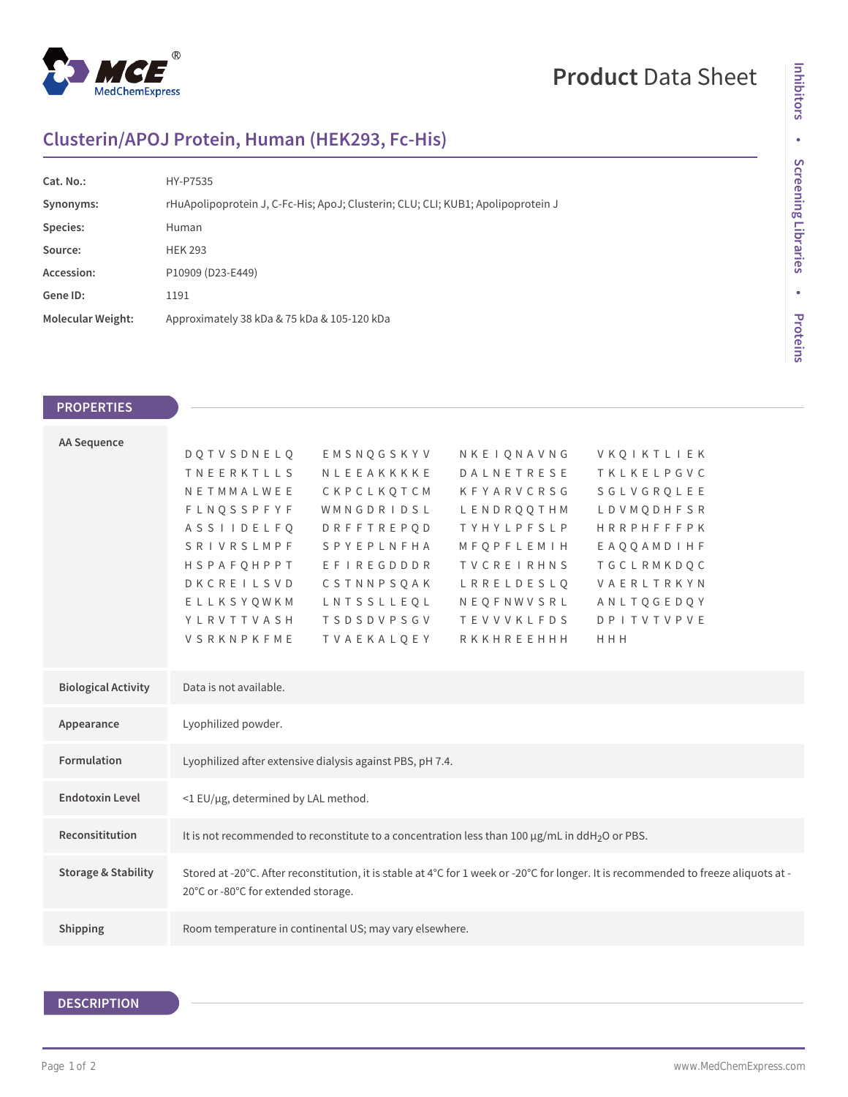

# **Product** Data Sheet

# **Clusterin/APOJ Protein, Human (HEK293, Fc-His)**

| Cat. No.:                | HY-P7535                                                                         |  |  |
|--------------------------|----------------------------------------------------------------------------------|--|--|
| Synonyms:                | rHuApolipoprotein J, C-Fc-His; ApoJ; Clusterin; CLU; CLI; KUB1; Apolipoprotein J |  |  |
| Species:                 | Human                                                                            |  |  |
| Source:                  | <b>HEK 293</b>                                                                   |  |  |
| Accession:               | P10909 (D23-E449)                                                                |  |  |
| Gene ID:                 | 1191                                                                             |  |  |
| <b>Molecular Weight:</b> | Approximately 38 kDa & 75 kDa & 105-120 kDa                                      |  |  |

## **PROPERTIES**

| <b>AA Sequence</b>             |                                                                                                                                      |                   |                   |                   |  |  |
|--------------------------------|--------------------------------------------------------------------------------------------------------------------------------------|-------------------|-------------------|-------------------|--|--|
|                                | <b>DOTVSDNELO</b>                                                                                                                    | EMSNQGSKYV        | NKEIQNAVNG        | VKQIKTLIEK        |  |  |
|                                | <b>TNEERKTLLS</b>                                                                                                                    | NLEEAKKKKE        | DALNETRESE        | TKLKELPGVC        |  |  |
|                                | NETMMALWEE                                                                                                                           | CKPCLKQTCM        | <b>KFYARVCRSG</b> | SGLVGROLEE        |  |  |
|                                | <b>FLNQSSPFYF</b>                                                                                                                    | WMNGDRIDSL        | LENDROOTHM        | LDVMODHFSR        |  |  |
|                                | <b>ASSIIDELFO</b>                                                                                                                    | <b>DRFFTREPOD</b> | TYHYLPFSLP        | <b>HRRPHFFFPK</b> |  |  |
|                                | SRIVRSLMPF                                                                                                                           | SPYEPLNFHA        | MFQPFLEMIH        | EAQQAMDIHF        |  |  |
|                                | HSPAFQHPPT                                                                                                                           | EFIREGDDDR        | TVCREIRHNS        | TGCLRMKDQC        |  |  |
|                                | DKCREILSVD                                                                                                                           | CSTNNPSOAK        | LRRELDESLO        | VAERLTRKYN        |  |  |
|                                | ELLKSYOWKM                                                                                                                           | LNTSSLLEQL        | NEOFNWVSRL        | ANLTOGEDOY        |  |  |
|                                | YLRVTTVASH                                                                                                                           | <b>TSDSDVPSGV</b> | <b>TEVVVKLFDS</b> | <b>DPITVTVPVE</b> |  |  |
|                                | VSRKNPKFME                                                                                                                           | TVAEKALQEY        | RKKHREEHHH        | HHH               |  |  |
|                                |                                                                                                                                      |                   |                   |                   |  |  |
|                                |                                                                                                                                      |                   |                   |                   |  |  |
| <b>Biological Activity</b>     | Data is not available.                                                                                                               |                   |                   |                   |  |  |
|                                |                                                                                                                                      |                   |                   |                   |  |  |
| Appearance                     | Lyophilized powder.                                                                                                                  |                   |                   |                   |  |  |
|                                |                                                                                                                                      |                   |                   |                   |  |  |
| Formulation                    | Lyophilized after extensive dialysis against PBS, pH 7.4.                                                                            |                   |                   |                   |  |  |
|                                |                                                                                                                                      |                   |                   |                   |  |  |
| <b>Endotoxin Level</b>         | <1 EU/µg, determined by LAL method.                                                                                                  |                   |                   |                   |  |  |
|                                |                                                                                                                                      |                   |                   |                   |  |  |
| Reconsititution                | It is not recommended to reconstitute to a concentration less than 100 $\mu$ g/mL in ddH <sub>2</sub> O or PBS.                      |                   |                   |                   |  |  |
|                                |                                                                                                                                      |                   |                   |                   |  |  |
| <b>Storage &amp; Stability</b> | Stored at -20°C. After reconstitution, it is stable at 4°C for 1 week or -20°C for longer. It is recommended to freeze aliquots at - |                   |                   |                   |  |  |
|                                | 20°C or -80°C for extended storage.                                                                                                  |                   |                   |                   |  |  |
|                                |                                                                                                                                      |                   |                   |                   |  |  |
| Shipping                       | Room temperature in continental US; may vary elsewhere.                                                                              |                   |                   |                   |  |  |
|                                |                                                                                                                                      |                   |                   |                   |  |  |

# **DESCRIPTION**